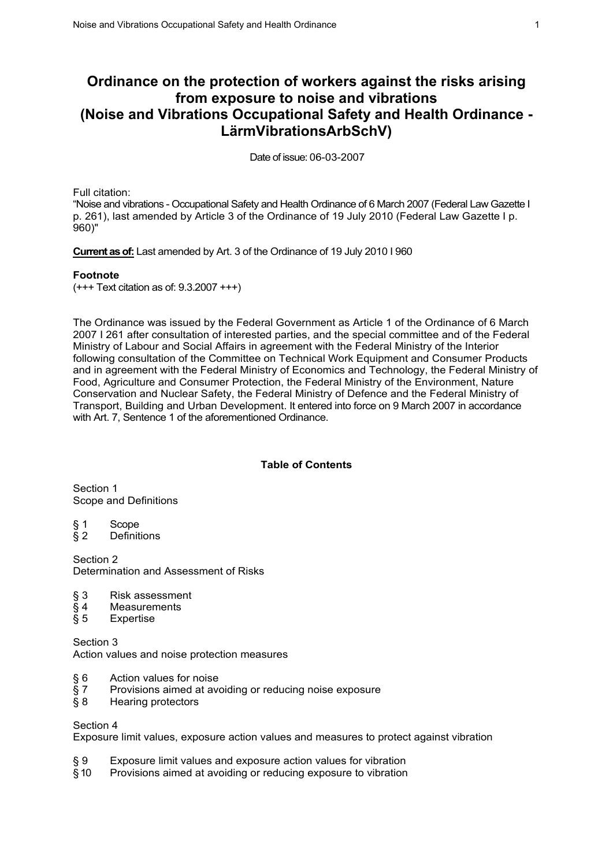# **Ordinance on the protection of workers against the risks arising from exposure to noise and vibrations (Noise and Vibrations Occupational Safety and Health Ordinance - LärmVibrationsArbSchV)**

Date of issue: 06-03-2007

Full citation:

"Noise and vibrations - Occupational Safety and Health Ordinance of 6 March 2007 (Federal Law Gazette I p. 261), last amended by Article 3 of the Ordinance of 19 July 2010 (Federal Law Gazette I p. 960)"

**Current as of:** Last amended by Art. 3 of the Ordinance of 19 July 2010 I 960

### **Footnote**

(+++ Text citation as of: 9.3.2007 +++)

The Ordinance was issued by the Federal Government as Article 1 of the Ordinance of 6 March 2007 I 261 after consultation of interested parties, and the special committee and of the Federal Ministry of Labour and Social Affairs in agreement with the Federal Ministry of the Interior following consultation of the Committee on Technical Work Equipment and Consumer Products and in agreement with the Federal Ministry of Economics and Technology, the Federal Ministry of Food, Agriculture and Consumer Protection, the Federal Ministry of the Environment, Nature Conservation and Nuclear Safety, the Federal Ministry of Defence and the Federal Ministry of Transport, Building and Urban Development. It entered into force on 9 March 2007 in accordance with Art. 7, Sentence 1 of the aforementioned Ordinance.

### **Table of Contents**

Section 1 Scope and Definitions

- § 1 Scope<br>§ 2 Definit
- **Definitions**

Section 2 Determination and Assessment of Risks

- § 3 Risk assessment<br>§ 4 Measurements<br>§ 5 Expertise
- **Measurements**
- **Expertise**

Section 3 Action values and noise protection measures

- § 6 Action values for noise
- § 7 Provisions aimed at avoiding or reducing noise exposure
- § 8 Hearing protectors

### Section 4

Exposure limit values, exposure action values and measures to protect against vibration

- § 9 Exposure limit values and exposure action values for vibration § 10 Provisions aimed at avoiding or reducing exposure to vibration
- Provisions aimed at avoiding or reducing exposure to vibration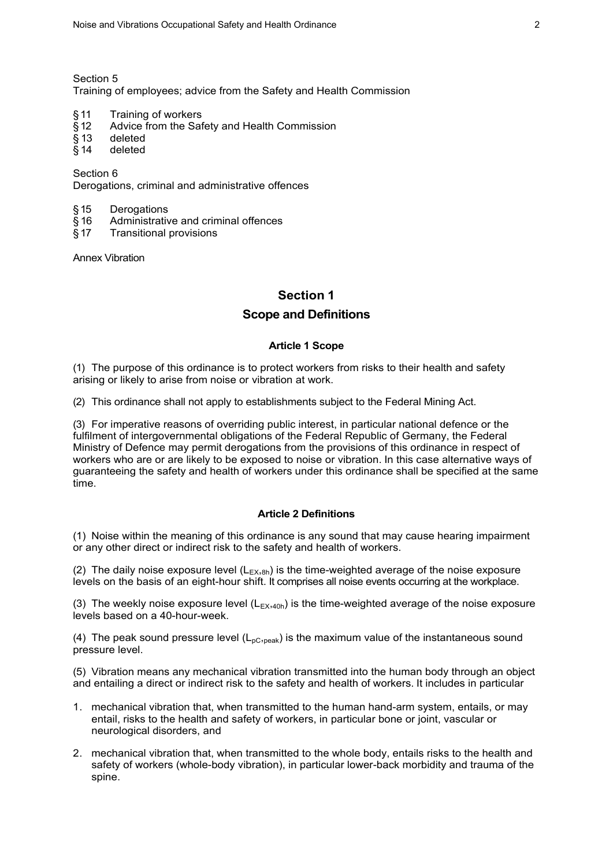Section 5

Training of employees; advice from the Safety and Health Commission

- §11 Training of workers
- § 12 Advice from the Safety and Health Commission<br>§ 13 deleted
- § 13 deleted
- § 14 deleted

Section 6 Derogations, criminal and administrative offences

- 
- § 15 Derogations<br>§ 16 Administrativ  $§$  16 Administrative and criminal offences<br> $§$  17 Transitional provisions
- § 17 Transitional provisions

Annex Vibration

## **Section 1**

## **Scope and Definitions**

### **Article 1 Scope**

(1) The purpose of this ordinance is to protect workers from risks to their health and safety arising or likely to arise from noise or vibration at work.

(2) This ordinance shall not apply to establishments subject to the Federal Mining Act.

(3) For imperative reasons of overriding public interest, in particular national defence or the fulfilment of intergovernmental obligations of the Federal Republic of Germany, the Federal Ministry of Defence may permit derogations from the provisions of this ordinance in respect of workers who are or are likely to be exposed to noise or vibration. In this case alternative ways of guaranteeing the safety and health of workers under this ordinance shall be specified at the same time.

#### **Article 2 Definitions**

(1) Noise within the meaning of this ordinance is any sound that may cause hearing impairment or any other direct or indirect risk to the safety and health of workers.

(2) The daily noise exposure level  $(L_{Ex,8h})$  is the time-weighted average of the noise exposure levels on the basis of an eight-hour shift. It comprises all noise events occurring at the workplace.

(3) The weekly noise exposure level  $(L_{EX,40h})$  is the time-weighted average of the noise exposure levels based on a 40-hour-week.

(4) The peak sound pressure level  $(L_{\text{DC},\text{peak}})$  is the maximum value of the instantaneous sound pressure level.

(5) Vibration means any mechanical vibration transmitted into the human body through an object and entailing a direct or indirect risk to the safety and health of workers. It includes in particular

- 1. mechanical vibration that, when transmitted to the human hand-arm system, entails, or may entail, risks to the health and safety of workers, in particular bone or joint, vascular or neurological disorders, and
- 2. mechanical vibration that, when transmitted to the whole body, entails risks to the health and safety of workers (whole-body vibration), in particular lower-back morbidity and trauma of the spine.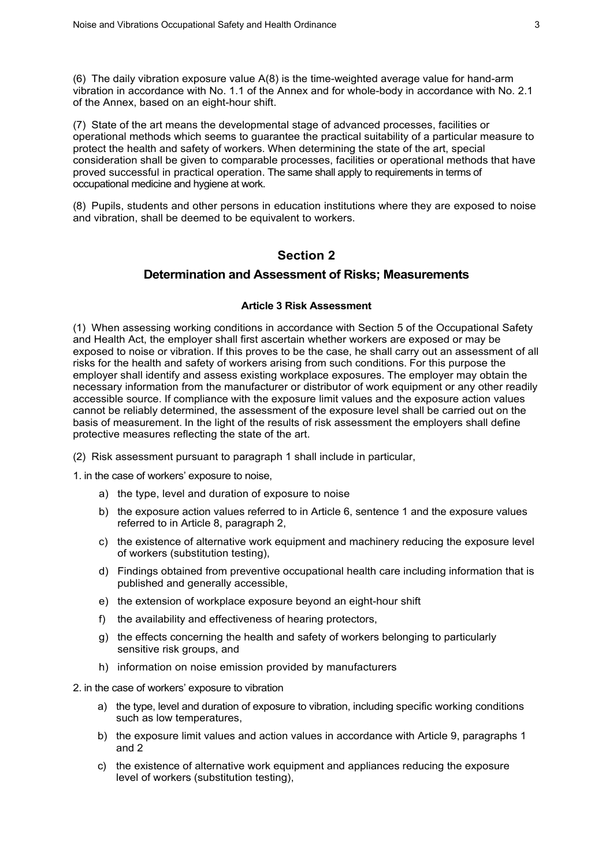(6) The daily vibration exposure value A(8) is the time-weighted average value for hand-arm vibration in accordance with No. 1.1 of the Annex and for whole-body in accordance with No. 2.1 of the Annex, based on an eight-hour shift.

(7) State of the art means the developmental stage of advanced processes, facilities or operational methods which seems to guarantee the practical suitability of a particular measure to protect the health and safety of workers. When determining the state of the art, special consideration shall be given to comparable processes, facilities or operational methods that have proved successful in practical operation. The same shall apply to requirements in terms of occupational medicine and hygiene at work.

(8) Pupils, students and other persons in education institutions where they are exposed to noise and vibration, shall be deemed to be equivalent to workers.

# **Section 2**

### **Determination and Assessment of Risks; Measurements**

#### **Article 3 Risk Assessment**

(1) When assessing working conditions in accordance with Section 5 of the Occupational Safety and Health Act, the employer shall first ascertain whether workers are exposed or may be exposed to noise or vibration. If this proves to be the case, he shall carry out an assessment of all risks for the health and safety of workers arising from such conditions. For this purpose the employer shall identify and assess existing workplace exposures. The employer may obtain the necessary information from the manufacturer or distributor of work equipment or any other readily accessible source. If compliance with the exposure limit values and the exposure action values cannot be reliably determined, the assessment of the exposure level shall be carried out on the basis of measurement. In the light of the results of risk assessment the employers shall define protective measures reflecting the state of the art.

(2) Risk assessment pursuant to paragraph 1 shall include in particular,

1. in the case of workers' exposure to noise,

- a) the type, level and duration of exposure to noise
- b) the exposure action values referred to in Article 6, sentence 1 and the exposure values referred to in Article 8, paragraph 2,
- c) the existence of alternative work equipment and machinery reducing the exposure level of workers (substitution testing),
- d) Findings obtained from preventive occupational health care including information that is published and generally accessible,
- e) the extension of workplace exposure beyond an eight-hour shift
- f) the availability and effectiveness of hearing protectors,
- g) the effects concerning the health and safety of workers belonging to particularly sensitive risk groups, and
- h) information on noise emission provided by manufacturers
- 2. in the case of workers' exposure to vibration
	- a) the type, level and duration of exposure to vibration, including specific working conditions such as low temperatures,
	- b) the exposure limit values and action values in accordance with Article 9, paragraphs 1 and 2
	- c) the existence of alternative work equipment and appliances reducing the exposure level of workers (substitution testing),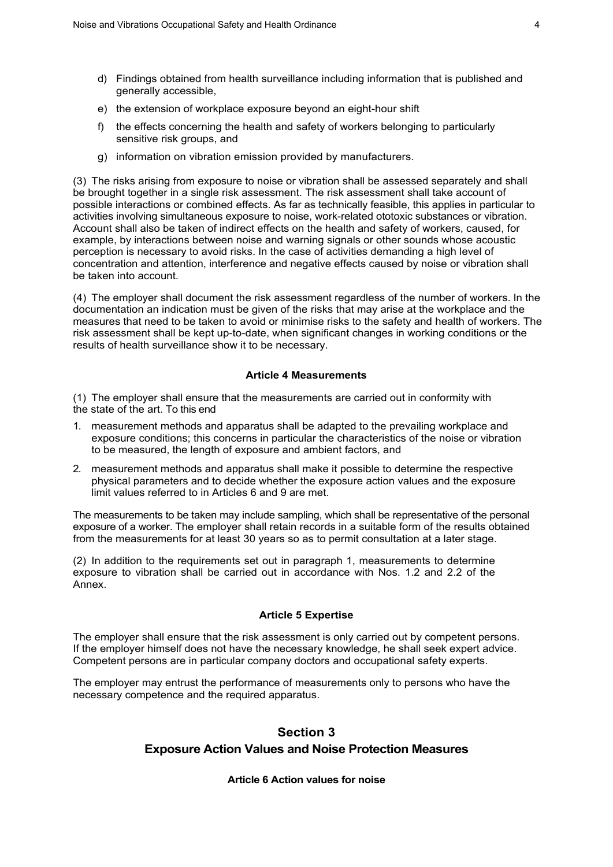- d) Findings obtained from health surveillance including information that is published and generally accessible,
- e) the extension of workplace exposure beyond an eight-hour shift
- f) the effects concerning the health and safety of workers belonging to particularly sensitive risk groups, and
- g) information on vibration emission provided by manufacturers.

(3) The risks arising from exposure to noise or vibration shall be assessed separately and shall be brought together in a single risk assessment. The risk assessment shall take account of possible interactions or combined effects. As far as technically feasible, this applies in particular to activities involving simultaneous exposure to noise, work-related ototoxic substances or vibration. Account shall also be taken of indirect effects on the health and safety of workers, caused, for example, by interactions between noise and warning signals or other sounds whose acoustic perception is necessary to avoid risks. In the case of activities demanding a high level of concentration and attention, interference and negative effects caused by noise or vibration shall be taken into account.

(4) The employer shall document the risk assessment regardless of the number of workers. In the documentation an indication must be given of the risks that may arise at the workplace and the measures that need to be taken to avoid or minimise risks to the safety and health of workers. The risk assessment shall be kept up-to-date, when significant changes in working conditions or the results of health surveillance show it to be necessary.

### **Article 4 Measurements**

(1) The employer shall ensure that the measurements are carried out in conformity with the state of the art. To this end

- 1. measurement methods and apparatus shall be adapted to the prevailing workplace and exposure conditions; this concerns in particular the characteristics of the noise or vibration to be measured, the length of exposure and ambient factors, and
- 2. measurement methods and apparatus shall make it possible to determine the respective physical parameters and to decide whether the exposure action values and the exposure limit values referred to in Articles 6 and 9 are met.

The measurements to be taken may include sampling, which shall be representative of the personal exposure of a worker. The employer shall retain records in a suitable form of the results obtained from the measurements for at least 30 years so as to permit consultation at a later stage.

(2) In addition to the requirements set out in paragraph 1, measurements to determine exposure to vibration shall be carried out in accordance with Nos. 1.2 and 2.2 of the Annex.

### **Article 5 Expertise**

The employer shall ensure that the risk assessment is only carried out by competent persons. If the employer himself does not have the necessary knowledge, he shall seek expert advice. Competent persons are in particular company doctors and occupational safety experts.

The employer may entrust the performance of measurements only to persons who have the necessary competence and the required apparatus.

# **Section 3**

# **Exposure Action Values and Noise Protection Measures**

### **Article 6 Action values for noise**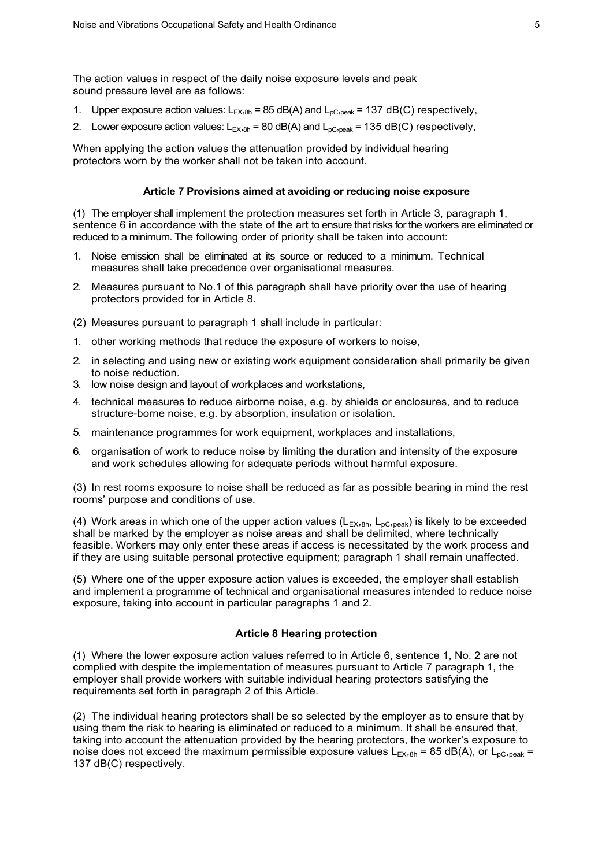The action values in respect of the daily noise exposure levels and peak sound pressure level are as follows:

- 1. Upper exposure action values:  $L_{EX,8h}$  = 85 dB(A) and  $L_{\text{nc},\text{peak}}$  = 137 dB(C) respectively,
- 2. Lower exposure action values:  $L_{EX,8h}$  = 80 dB(A) and  $L_{\text{pC,peak}}$  = 135 dB(C) respectively,

When applying the action values the attenuation provided by individual hearing protectors worn by the worker shall not be taken into account.

#### **Article 7 Provisions aimed at avoiding or reducing noise exposure**

(1) The employer shall implement the protection measures set forth in Article 3, paragraph 1, sentence 6 in accordance with the state of the art to ensure that risks for the workers are eliminated or reduced to a minimum. The following order of priority shall be taken into account:

- 1. Noise emission shall be eliminated at its source or reduced to a minimum. Technical measures shall take precedence over organisational measures.
- 2. Measures pursuant to No.1 of this paragraph shall have priority over the use of hearing protectors provided for in Article 8.
- (2) Measures pursuant to paragraph 1 shall include in particular:
- 1. other working methods that reduce the exposure of workers to noise,
- 2. in selecting and using new or existing work equipment consideration shall primarily be given to noise reduction.
- 3. low noise design and layout of workplaces and workstations,
- 4. technical measures to reduce airborne noise, e.g. by shields or enclosures, and to reduce structure-borne noise, e.g. by absorption, insulation or isolation.
- 5. maintenance programmes for work equipment, workplaces and installations,
- 6. organisation of work to reduce noise by limiting the duration and intensity of the exposure and work schedules allowing for adequate periods without harmful exposure.

(3) In rest rooms exposure to noise shall be reduced as far as possible bearing in mind the rest rooms' purpose and conditions of use.

(4) Work areas in which one of the upper action values ( $L_{EX,8h}$ ,  $L_{DC,peak}$ ) is likely to be exceeded shall be marked by the employer as noise areas and shall be delimited, where technically feasible. Workers may only enter these areas if access is necessitated by the work process and if they are using suitable personal protective equipment; paragraph 1 shall remain unaffected.

(5) Where one of the upper exposure action values is exceeded, the employer shall establish and implement a programme of technical and organisational measures intended to reduce noise exposure, taking into account in particular paragraphs 1 and 2.

#### **Article 8 Hearing protection**

(1) Where the lower exposure action values referred to in Article 6, sentence 1, No. 2 are not complied with despite the implementation of measures pursuant to Article 7 paragraph 1, the employer shall provide workers with suitable individual hearing protectors satisfying the requirements set forth in paragraph 2 of this Article.

(2) The individual hearing protectors shall be so selected by the employer as to ensure that by using them the risk to hearing is eliminated or reduced to a minimum. It shall be ensured that, taking into account the attenuation provided by the hearing protectors, the worker's exposure to noise does not exceed the maximum permissible exposure values  $L_{FX,8h} = 85$  dB(A), or  $L_{pC,peak} =$ 137 dB(C) respectively.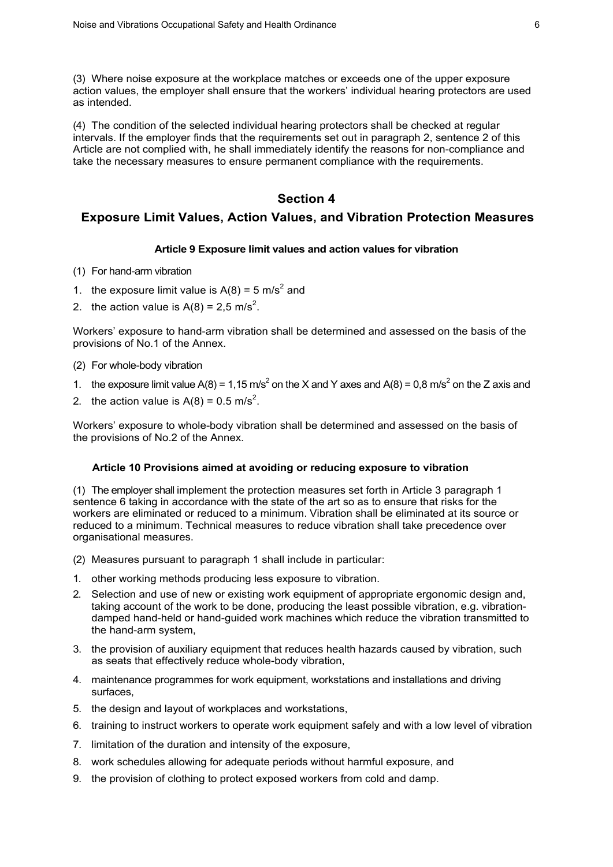(3) Where noise exposure at the workplace matches or exceeds one of the upper exposure action values, the employer shall ensure that the workers' individual hearing protectors are used as intended.

(4) The condition of the selected individual hearing protectors shall be checked at regular intervals. If the employer finds that the requirements set out in paragraph 2, sentence 2 of this Article are not complied with, he shall immediately identify the reasons for non-compliance and take the necessary measures to ensure permanent compliance with the requirements.

# **Section 4**

## **Exposure Limit Values, Action Values, and Vibration Protection Measures**

#### **Article 9 Exposure limit values and action values for vibration**

- (1) For hand-arm vibration
- 1. the exposure limit value is  $A(8) = 5$  m/s<sup>2</sup> and
- 2. the action value is  $A(8) = 2.5$  m/s<sup>2</sup>.

Workers' exposure to hand-arm vibration shall be determined and assessed on the basis of the provisions of No.1 of the Annex.

- (2) For whole-body vibration
- 1. the exposure limit value  $A(8) = 1,15$  m/s<sup>2</sup> on the X and Y axes and  $A(8) = 0,8$  m/s<sup>2</sup> on the Z axis and
- 2. the action value is  $A(8) = 0.5$  m/s<sup>2</sup>.

Workers' exposure to whole-body vibration shall be determined and assessed on the basis of the provisions of No.2 of the Annex.

#### **Article 10 Provisions aimed at avoiding or reducing exposure to vibration**

(1) The employer shall implement the protection measures set forth in Article 3 paragraph 1 sentence 6 taking in accordance with the state of the art so as to ensure that risks for the workers are eliminated or reduced to a minimum. Vibration shall be eliminated at its source or reduced to a minimum. Technical measures to reduce vibration shall take precedence over organisational measures.

- (2) Measures pursuant to paragraph 1 shall include in particular:
- 1. other working methods producing less exposure to vibration.
- 2. Selection and use of new or existing work equipment of appropriate ergonomic design and, taking account of the work to be done, producing the least possible vibration, e.g. vibrationdamped hand-held or hand-guided work machines which reduce the vibration transmitted to the hand-arm system,
- 3. the provision of auxiliary equipment that reduces health hazards caused by vibration, such as seats that effectively reduce whole-body vibration,
- 4. maintenance programmes for work equipment, workstations and installations and driving surfaces,
- 5. the design and layout of workplaces and workstations,
- 6. training to instruct workers to operate work equipment safely and with a low level of vibration
- 7. limitation of the duration and intensity of the exposure,
- 8. work schedules allowing for adequate periods without harmful exposure, and
- 9. the provision of clothing to protect exposed workers from cold and damp.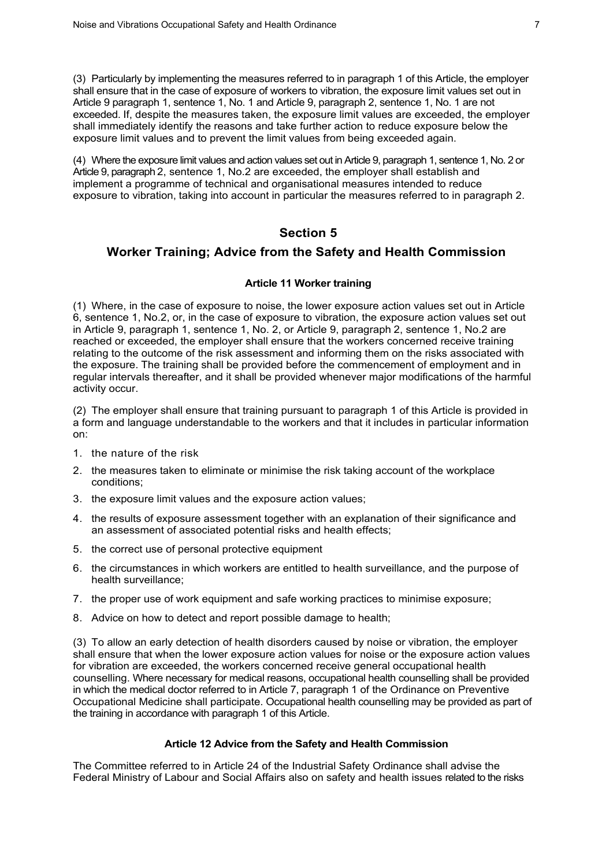(3) Particularly by implementing the measures referred to in paragraph 1 of this Article, the employer shall ensure that in the case of exposure of workers to vibration, the exposure limit values set out in Article 9 paragraph 1, sentence 1, No. 1 and Article 9, paragraph 2, sentence 1, No. 1 are not exceeded. If, despite the measures taken, the exposure limit values are exceeded, the employer shall immediately identify the reasons and take further action to reduce exposure below the exposure limit values and to prevent the limit values from being exceeded again.

(4) Where the exposure limit values and action values set out in Article 9, paragraph 1, sentence 1, No. 2 or Article 9, paragraph 2, sentence 1, No.2 are exceeded, the employer shall establish and implement a programme of technical and organisational measures intended to reduce exposure to vibration, taking into account in particular the measures referred to in paragraph 2.

# **Section 5**

# **Worker Training; Advice from the Safety and Health Commission**

### **Article 11 Worker training**

(1) Where, in the case of exposure to noise, the lower exposure action values set out in Article 6, sentence 1, No.2, or, in the case of exposure to vibration, the exposure action values set out in Article 9, paragraph 1, sentence 1, No. 2, or Article 9, paragraph 2, sentence 1, No.2 are reached or exceeded, the employer shall ensure that the workers concerned receive training relating to the outcome of the risk assessment and informing them on the risks associated with the exposure. The training shall be provided before the commencement of employment and in regular intervals thereafter, and it shall be provided whenever major modifications of the harmful activity occur.

(2) The employer shall ensure that training pursuant to paragraph 1 of this Article is provided in a form and language understandable to the workers and that it includes in particular information on:

- 1. the nature of the risk
- 2. the measures taken to eliminate or minimise the risk taking account of the workplace conditions;
- 3. the exposure limit values and the exposure action values;
- 4. the results of exposure assessment together with an explanation of their significance and an assessment of associated potential risks and health effects;
- 5. the correct use of personal protective equipment
- 6. the circumstances in which workers are entitled to health surveillance, and the purpose of health surveillance;
- 7. the proper use of work equipment and safe working practices to minimise exposure;
- 8. Advice on how to detect and report possible damage to health;

(3) To allow an early detection of health disorders caused by noise or vibration, the employer shall ensure that when the lower exposure action values for noise or the exposure action values for vibration are exceeded, the workers concerned receive general occupational health counselling. Where necessary for medical reasons, occupational health counselling shall be provided in which the medical doctor referred to in Article 7, paragraph 1 of the Ordinance on Preventive Occupational Medicine shall participate. Occupational health counselling may be provided as part of the training in accordance with paragraph 1 of this Article.

#### **Article 12 Advice from the Safety and Health Commission**

The Committee referred to in Article 24 of the Industrial Safety Ordinance shall advise the Federal Ministry of Labour and Social Affairs also on safety and health issues related to the risks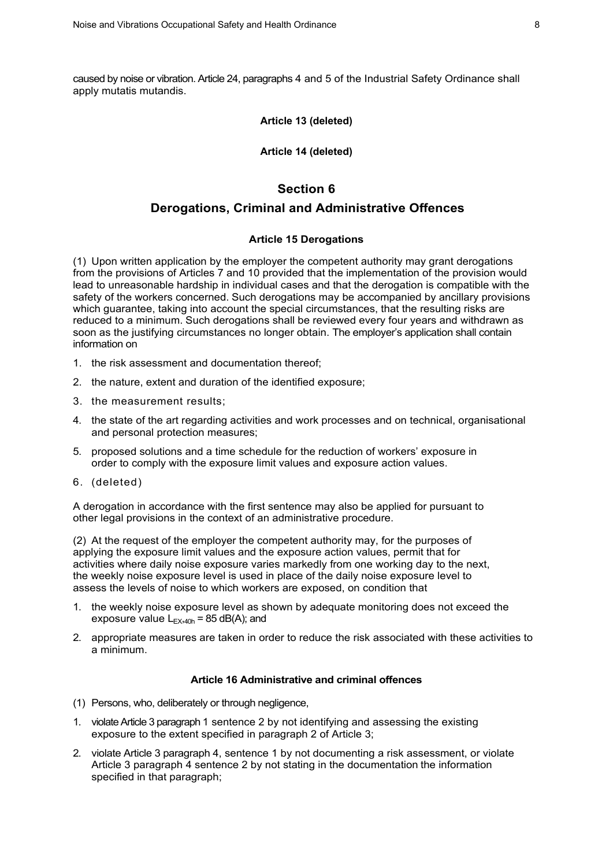caused by noise or vibration. Article 24, paragraphs 4 and 5 of the Industrial Safety Ordinance shall apply mutatis mutandis.

#### **Article 13 (deleted)**

#### **Article 14 (deleted)**

# **Section 6**

# **Derogations, Criminal and Administrative Offences**

### **Article 15 Derogations**

(1) Upon written application by the employer the competent authority may grant derogations from the provisions of Articles 7 and 10 provided that the implementation of the provision would lead to unreasonable hardship in individual cases and that the derogation is compatible with the safety of the workers concerned. Such derogations may be accompanied by ancillary provisions which guarantee, taking into account the special circumstances, that the resulting risks are reduced to a minimum. Such derogations shall be reviewed every four years and withdrawn as soon as the justifying circumstances no longer obtain. The employer's application shall contain information on

- 1. the risk assessment and documentation thereof;
- 2. the nature, extent and duration of the identified exposure;
- 3. the measurement results;
- 4. the state of the art regarding activities and work processes and on technical, organisational and personal protection measures;
- 5. proposed solutions and a time schedule for the reduction of workers' exposure in order to comply with the exposure limit values and exposure action values.
- 6. (deleted)

A derogation in accordance with the first sentence may also be applied for pursuant to other legal provisions in the context of an administrative procedure.

(2) At the request of the employer the competent authority may, for the purposes of applying the exposure limit values and the exposure action values, permit that for activities where daily noise exposure varies markedly from one working day to the next, the weekly noise exposure level is used in place of the daily noise exposure level to assess the levels of noise to which workers are exposed, on condition that

- 1. the weekly noise exposure level as shown by adequate monitoring does not exceed the exposure value  $L_{EX,40h}$  = 85 dB(A); and
- 2. appropriate measures are taken in order to reduce the risk associated with these activities to a minimum.

#### **Article 16 Administrative and criminal offences**

- (1) Persons, who, deliberately or through negligence,
- 1. violate Article 3 paragraph 1 sentence 2 by not identifying and assessing the existing exposure to the extent specified in paragraph 2 of Article 3;
- 2. violate Article 3 paragraph 4, sentence 1 by not documenting a risk assessment, or violate Article 3 paragraph 4 sentence 2 by not stating in the documentation the information specified in that paragraph;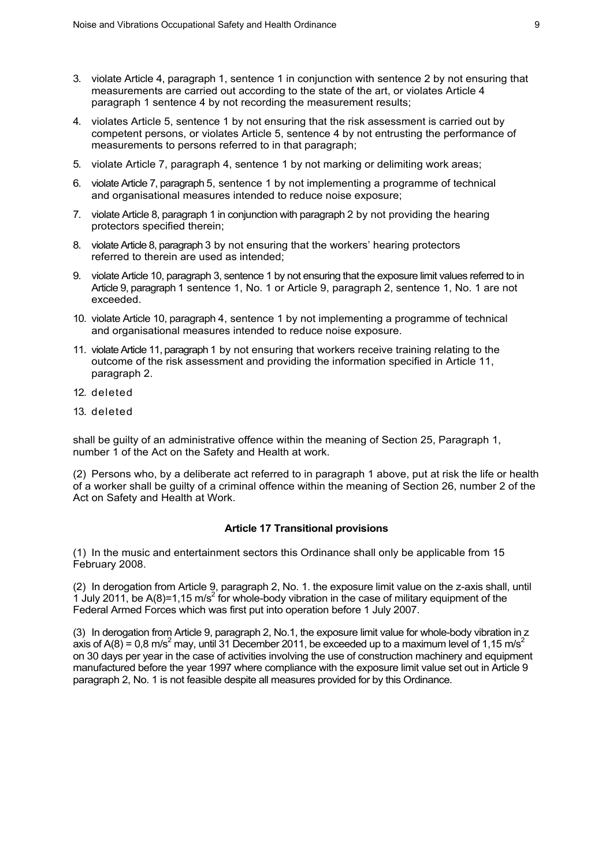- 3. violate Article 4, paragraph 1, sentence 1 in conjunction with sentence 2 by not ensuring that measurements are carried out according to the state of the art, or violates Article 4 paragraph 1 sentence 4 by not recording the measurement results;
- 4. violates Article 5, sentence 1 by not ensuring that the risk assessment is carried out by competent persons, or violates Article 5, sentence 4 by not entrusting the performance of measurements to persons referred to in that paragraph;
- 5. violate Article 7, paragraph 4, sentence 1 by not marking or delimiting work areas;
- 6. violate Article 7, paragraph 5, sentence 1 by not implementing a programme of technical and organisational measures intended to reduce noise exposure;
- 7. violate Article 8, paragraph 1 in conjunction with paragraph 2 by not providing the hearing protectors specified therein;
- 8. violate Article 8, paragraph 3 by not ensuring that the workers' hearing protectors referred to therein are used as intended;
- 9. violate Article 10, paragraph 3, sentence 1 by not ensuring that the exposure limit values referred to in Article 9, paragraph 1 sentence 1, No. 1 or Article 9, paragraph 2, sentence 1, No. 1 are not exceeded.
- 10. violate Article 10, paragraph 4, sentence 1 by not implementing a programme of technical and organisational measures intended to reduce noise exposure.
- 11. violate Article 11, paragraph 1 by not ensuring that workers receive training relating to the outcome of the risk assessment and providing the information specified in Article 11, paragraph 2.
- 12. deleted
- 13. deleted

shall be guilty of an administrative offence within the meaning of Section 25, Paragraph 1, number 1 of the Act on the Safety and Health at work.

(2) Persons who, by a deliberate act referred to in paragraph 1 above, put at risk the life or health of a worker shall be guilty of a criminal offence within the meaning of Section 26, number 2 of the Act on Safety and Health at Work.

#### **Article 17 Transitional provisions**

(1) In the music and entertainment sectors this Ordinance shall only be applicable from 15 February 2008.

(2) In derogation from Article 9, paragraph 2, No. 1. the exposure limit value on the z-axis shall, until 1 July 2011, be A(8)=1,15 m/s<sup>2</sup> for whole-body vibration in the case of military equipment of the Federal Armed Forces which was first put into operation before 1 July 2007.

(3) In derogation from Article 9, paragraph 2, No.1, the exposure limit value for whole-body vibration in z axis of A(8) = 0,8 m/s<sup>2</sup> may, until 31 December 2011, be exceeded up to a maximum level of 1,15 m/s<sup>2</sup> on 30 days per year in the case of activities involving the use of construction machinery and equipment manufactured before the year 1997 where compliance with the exposure limit value set out in Article 9 paragraph 2, No. 1 is not feasible despite all measures provided for by this Ordinance.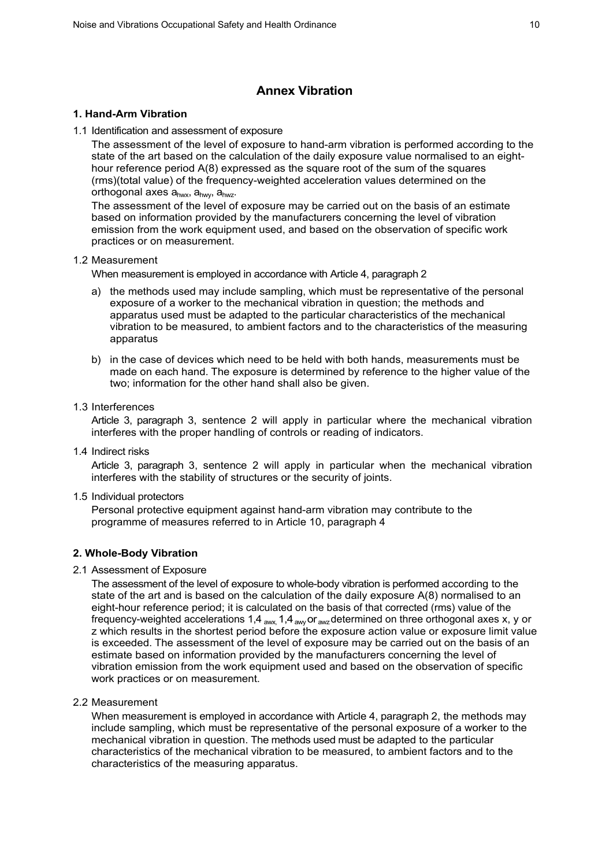# **Annex Vibration**

#### **1. Hand-Arm Vibration**

1.1 Identification and assessment of exposure

The assessment of the level of exposure to hand-arm vibration is performed according to the state of the art based on the calculation of the daily exposure value normalised to an eighthour reference period A(8) expressed as the square root of the sum of the squares (rms)(total value) of the frequency-weighted acceleration values determined on the orthogonal axes ahwx, ahwy, ahwz.

The assessment of the level of exposure may be carried out on the basis of an estimate based on information provided by the manufacturers concerning the level of vibration emission from the work equipment used, and based on the observation of specific work practices or on measurement.

#### 1.2 Measurement

When measurement is employed in accordance with Article 4, paragraph 2

- a) the methods used may include sampling, which must be representative of the personal exposure of a worker to the mechanical vibration in question; the methods and apparatus used must be adapted to the particular characteristics of the mechanical vibration to be measured, to ambient factors and to the characteristics of the measuring apparatus
- b) in the case of devices which need to be held with both hands, measurements must be made on each hand. The exposure is determined by reference to the higher value of the two; information for the other hand shall also be given.
- 1.3 Interferences

Article 3, paragraph 3, sentence 2 will apply in particular where the mechanical vibration interferes with the proper handling of controls or reading of indicators.

1.4 Indirect risks

Article 3, paragraph 3, sentence 2 will apply in particular when the mechanical vibration interferes with the stability of structures or the security of joints.

1.5 Individual protectors

Personal protective equipment against hand-arm vibration may contribute to the programme of measures referred to in Article 10, paragraph 4

#### **2. Whole-Body Vibration**

2.1 Assessment of Exposure

The assessment of the level of exposure to whole-body vibration is performed according to the state of the art and is based on the calculation of the daily exposure A(8) normalised to an eight-hour reference period; it is calculated on the basis of that corrected (rms) value of the frequency-weighted accelerations 1,4  $_{\text{awx}}$ , 1,4  $_{\text{awx}}$  or  $_{\text{awz}}$  determined on three orthogonal axes x, y or z which results in the shortest period before the exposure action value or exposure limit value is exceeded. The assessment of the level of exposure may be carried out on the basis of an estimate based on information provided by the manufacturers concerning the level of vibration emission from the work equipment used and based on the observation of specific work practices or on measurement.

2.2 Measurement

When measurement is employed in accordance with Article 4, paragraph 2, the methods may include sampling, which must be representative of the personal exposure of a worker to the mechanical vibration in question. The methods used must be adapted to the particular characteristics of the mechanical vibration to be measured, to ambient factors and to the characteristics of the measuring apparatus.